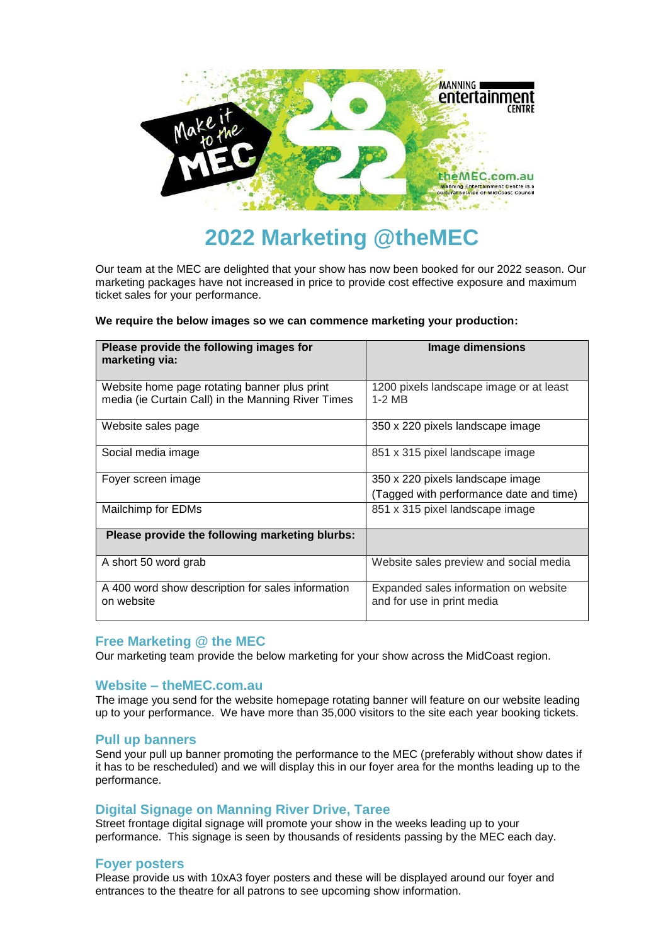

# **2022 Marketing @theMEC**

Our team at the MEC are delighted that your show has now been booked for our 2022 season. Our marketing packages have not increased in price to provide cost effective exposure and maximum ticket sales for your performance.

#### **We require the below images so we can commence marketing your production:**

| Please provide the following images for<br>marketing via:                                          | <b>Image dimensions</b>                                                     |
|----------------------------------------------------------------------------------------------------|-----------------------------------------------------------------------------|
| Website home page rotating banner plus print<br>media (ie Curtain Call) in the Manning River Times | 1200 pixels landscape image or at least<br>$1-2$ MB                         |
| Website sales page                                                                                 | 350 x 220 pixels landscape image                                            |
| Social media image                                                                                 | 851 x 315 pixel landscape image                                             |
| Foyer screen image                                                                                 | 350 x 220 pixels landscape image<br>(Tagged with performance date and time) |
| Mailchimp for EDMs                                                                                 | 851 x 315 pixel landscape image                                             |
| Please provide the following marketing blurbs:                                                     |                                                                             |
| A short 50 word grab                                                                               | Website sales preview and social media                                      |
| A 400 word show description for sales information<br>on website                                    | Expanded sales information on website<br>and for use in print media         |

# **Free Marketing @ the MEC**

Our marketing team provide the below marketing for your show across the MidCoast region.

# **Website – theMEC.com.au**

The image you send for the website homepage rotating banner will feature on our website leading up to your performance. We have more than 35,000 visitors to the site each year booking tickets.

#### **Pull up banners**

Send your pull up banner promoting the performance to the MEC (preferably without show dates if it has to be rescheduled) and we will display this in our foyer area for the months leading up to the performance.

#### **Digital Signage on Manning River Drive, Taree**

Street frontage digital signage will promote your show in the weeks leading up to your performance. This signage is seen by thousands of residents passing by the MEC each day.

#### **Foyer posters**

Please provide us with 10xA3 foyer posters and these will be displayed around our foyer and entrances to the theatre for all patrons to see upcoming show information.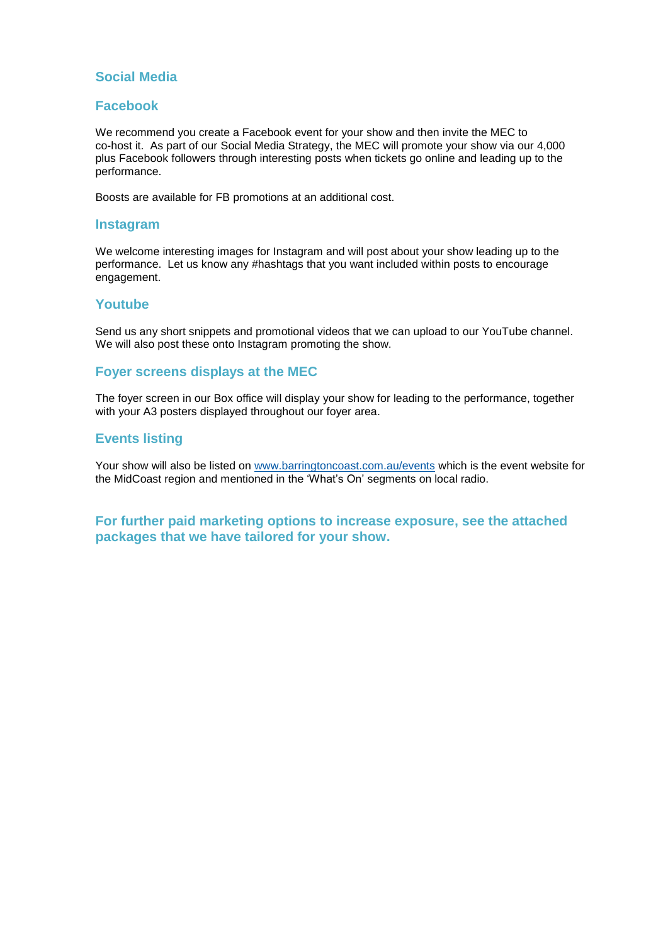# **Social Media**

# **Facebook**

We recommend you create a Facebook event for your show and then invite the MEC to co-host it. As part of our Social Media Strategy, the MEC will promote your show via our 4,000 plus Facebook followers through interesting posts when tickets go online and leading up to the performance.

Boosts are available for FB promotions at an additional cost.

#### **Instagram**

We welcome interesting images for Instagram and will post about your show leading up to the performance. Let us know any #hashtags that you want included within posts to encourage engagement.

### **Youtube**

Send us any short snippets and promotional videos that we can upload to our YouTube channel. We will also post these onto Instagram promoting the show.

### **Foyer screens displays at the MEC**

The foyer screen in our Box office will display your show for leading to the performance, together with your A3 posters displayed throughout our foyer area.

### **Events listing**

Your show will also be listed on [www.barringtoncoast.com.au/events](http://www.barringtoncoast.com.au/events) which is the event website for the MidCoast region and mentioned in the 'What's On' segments on local radio.

# **For further paid marketing options to increase exposure, see the attached packages that we have tailored for your show.**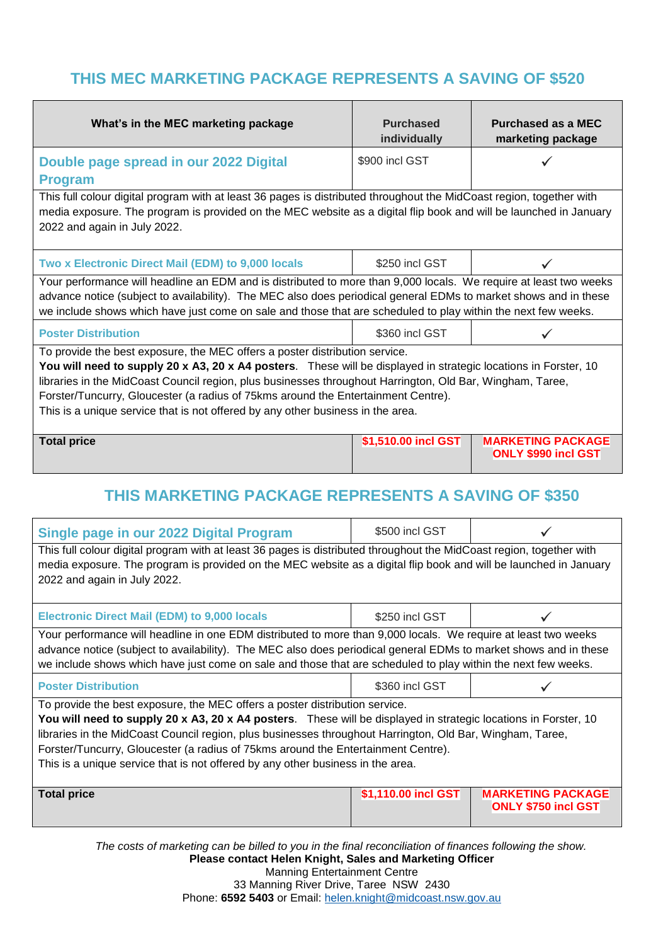# **THIS MEC MARKETING PACKAGE REPRESENTS A SAVING OF \$520**

| What's in the MEC marketing package                                                                                                                                                                                                                                                                                                                                                                                                                                                 | <b>Purchased</b><br>individually | <b>Purchased as a MEC</b><br>marketing package         |  |  |
|-------------------------------------------------------------------------------------------------------------------------------------------------------------------------------------------------------------------------------------------------------------------------------------------------------------------------------------------------------------------------------------------------------------------------------------------------------------------------------------|----------------------------------|--------------------------------------------------------|--|--|
| Double page spread in our 2022 Digital<br><b>Program</b>                                                                                                                                                                                                                                                                                                                                                                                                                            | \$900 incl GST                   |                                                        |  |  |
| This full colour digital program with at least 36 pages is distributed throughout the MidCoast region, together with<br>media exposure. The program is provided on the MEC website as a digital flip book and will be launched in January<br>2022 and again in July 2022.                                                                                                                                                                                                           |                                  |                                                        |  |  |
| Two x Electronic Direct Mail (EDM) to 9,000 locals                                                                                                                                                                                                                                                                                                                                                                                                                                  | \$250 incl GST                   |                                                        |  |  |
| Your performance will headline an EDM and is distributed to more than 9,000 locals. We require at least two weeks<br>advance notice (subject to availability). The MEC also does periodical general EDMs to market shows and in these<br>we include shows which have just come on sale and those that are scheduled to play within the next few weeks.                                                                                                                              |                                  |                                                        |  |  |
| <b>Poster Distribution</b>                                                                                                                                                                                                                                                                                                                                                                                                                                                          | \$360 incl GST                   |                                                        |  |  |
| To provide the best exposure, the MEC offers a poster distribution service.<br>You will need to supply 20 x A3, 20 x A4 posters. These will be displayed in strategic locations in Forster, 10<br>libraries in the MidCoast Council region, plus businesses throughout Harrington, Old Bar, Wingham, Taree,<br>Forster/Tuncurry, Gloucester (a radius of 75kms around the Entertainment Centre).<br>This is a unique service that is not offered by any other business in the area. |                                  |                                                        |  |  |
| <b>Total price</b>                                                                                                                                                                                                                                                                                                                                                                                                                                                                  | \$1,510.00 incl GST              | <b>MARKETING PACKAGE</b><br><b>ONLY \$990 incl GST</b> |  |  |
| THIS MARKETING PACKAGE REPRESENTS A SAVING OF \$350                                                                                                                                                                                                                                                                                                                                                                                                                                 |                                  |                                                        |  |  |
| Single page in our 2022 Digital Program                                                                                                                                                                                                                                                                                                                                                                                                                                             | \$500 incl GST                   |                                                        |  |  |
| This full colour digital program with at least 36 pages is distributed throughout the MidCoast region, together with<br>media exposure. The program is provided on the MEC website as a digital flip book and will be launched in January<br>2022 and again in July 2022.                                                                                                                                                                                                           |                                  |                                                        |  |  |

| <b>Electronic Direct Mail (EDM) to 9,000 locals</b>                                                                                                                                                                                                                                                                                                 | \$250 incl GST |  |  |
|-----------------------------------------------------------------------------------------------------------------------------------------------------------------------------------------------------------------------------------------------------------------------------------------------------------------------------------------------------|----------------|--|--|
| Your performance will headline in one EDM distributed to more than 9,000 locals. We require at least two weeks<br>advance notice (subject to availability). The MEC also does periodical general EDMs to market shows and in these<br>we include shows which have just come on sale and those that are scheduled to play within the next few weeks. |                |  |  |
| <b>Poster Distribution</b>                                                                                                                                                                                                                                                                                                                          | \$360 incl GST |  |  |
| To provide the best exposure, the MEC offers a poster distribution service.                                                                                                                                                                                                                                                                         |                |  |  |

**You will need to supply 20 x A3, 20 x A4 posters**. These will be displayed in strategic locations in Forster, 10 libraries in the MidCoast Council region, plus businesses throughout Harrington, Old Bar, Wingham, Taree, Forster/Tuncurry, Gloucester (a radius of 75kms around the Entertainment Centre). This is a unique service that is not offered by any other business in the area.

| <b>Total price</b> | \$1,110.00 incl GST | <b>MARKETING PACKAGE</b>   |
|--------------------|---------------------|----------------------------|
|                    |                     | <b>ONLY \$750 incl GST</b> |
|                    |                     |                            |

*The costs of marketing can be billed to you in the final reconciliation of finances following the show.* **Please contact Helen Knight, Sales and Marketing Officer** Manning Entertainment Centre 33 Manning River Drive, Taree NSW 2430 Phone: **6592 5403** or Email: [helen.knight@midcoast.nsw.gov.au](mailto:helen.knight@midcoast.nsw.gov.au)